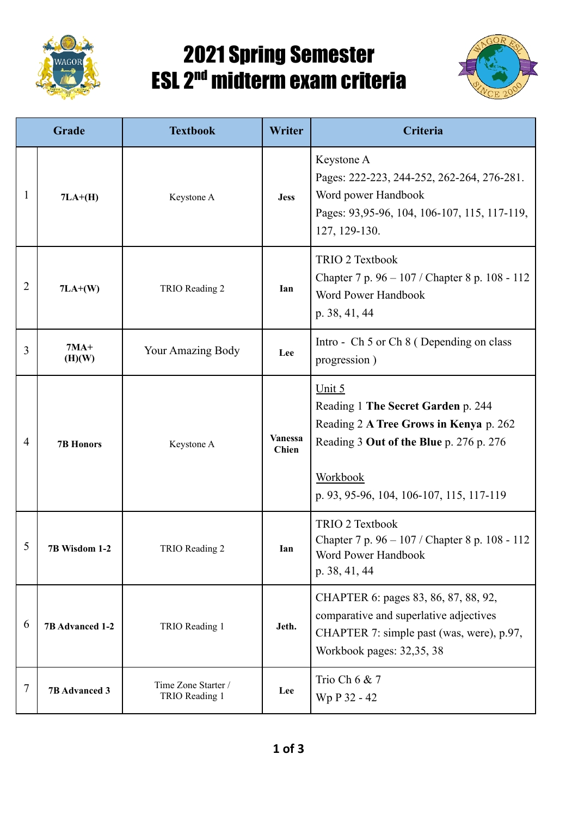

## 2021 Spring Semester ESL 2<sup>nd</sup> midterm exam criteria



| Grade          |                      | <b>Textbook</b>                       | Writer                  | Criteria                                                                                                                                                                                  |
|----------------|----------------------|---------------------------------------|-------------------------|-------------------------------------------------------------------------------------------------------------------------------------------------------------------------------------------|
| 1              | $7LA+(H)$            | Keystone A                            | <b>Jess</b>             | Keystone A<br>Pages: 222-223, 244-252, 262-264, 276-281.<br>Word power Handbook<br>Pages: 93,95-96, 104, 106-107, 115, 117-119,<br>127, 129-130.                                          |
| $\overline{2}$ | $7LA+(W)$            | TRIO Reading 2                        | Ian                     | TRIO 2 Textbook<br>Chapter 7 p. 96 – 107 / Chapter 8 p. 108 - 112<br>Word Power Handbook<br>p. 38, 41, 44                                                                                 |
| 3              | $7MA+$<br>(H)(W)     | Your Amazing Body                     | Lee                     | Intro - Ch 5 or Ch 8 (Depending on class<br>progression)                                                                                                                                  |
| $\overline{4}$ | <b>7B Honors</b>     | Keystone A                            | <b>Vanessa</b><br>Chien | Unit 5<br>Reading 1 The Secret Garden p. 244<br>Reading 2 A Tree Grows in Kenya p. 262<br>Reading 3 Out of the Blue p. 276 p. 276<br>Workbook<br>p. 93, 95-96, 104, 106-107, 115, 117-119 |
| 5              | 7B Wisdom 1-2        | TRIO Reading 2                        | Ian                     | <b>TRIO 2 Textbook</b><br>Chapter 7 p. 96 - 107 / Chapter 8 p. 108 - 112<br>Word Power Handbook<br>p. 38, 41, 44                                                                          |
| 6              | 7B Advanced 1-2      | TRIO Reading 1                        | Jeth.                   | CHAPTER 6: pages 83, 86, 87, 88, 92,<br>comparative and superlative adjectives<br>CHAPTER 7: simple past (was, were), p.97,<br>Workbook pages: 32,35, 38                                  |
| 7              | <b>7B Advanced 3</b> | Time Zone Starter /<br>TRIO Reading 1 | Lee                     | Trio Ch 6 & 7<br>Wp P 32 - 42                                                                                                                                                             |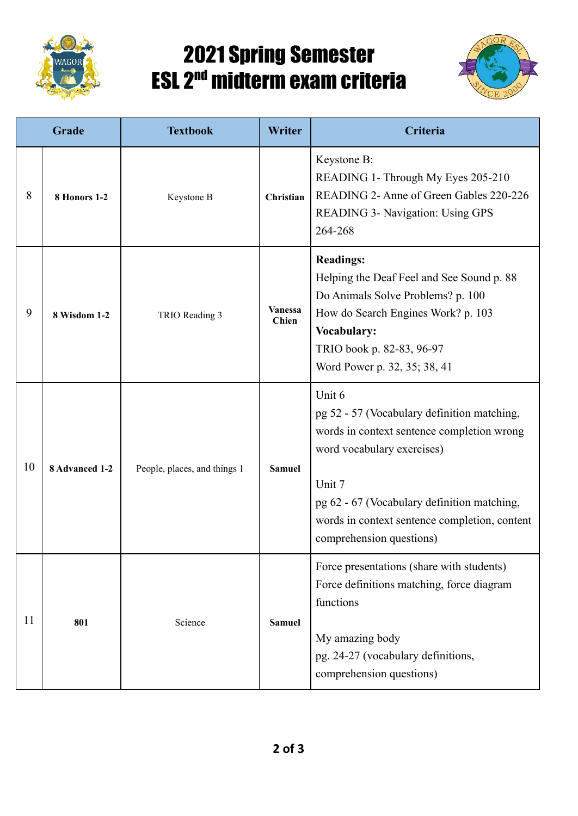

## 2021 Spring Semester ESL 2<sup>nd</sup> midterm exam criteria



| Grade |                | <b>Textbook</b>              | Writer                         | Criteria                                                                                                                                                                                                                                                                |
|-------|----------------|------------------------------|--------------------------------|-------------------------------------------------------------------------------------------------------------------------------------------------------------------------------------------------------------------------------------------------------------------------|
| 8     | 8 Honors 1-2   | Keystone B                   | Christian                      | Keystone B:<br>READING 1- Through My Eyes 205-210<br>READING 2- Anne of Green Gables 220-226<br><b>READING 3- Navigation: Using GPS</b><br>264-268                                                                                                                      |
| 9     | 8 Wisdom 1-2   | TRIO Reading 3               | <b>Vanessa</b><br><b>Chien</b> | <b>Readings:</b><br>Helping the Deaf Feel and See Sound p. 88<br>Do Animals Solve Problems? p. 100<br>How do Search Engines Work? p. 103<br>Vocabulary:<br>TRIO book p. 82-83, 96-97<br>Word Power p. 32, 35; 38, 41                                                    |
| 10    | 8 Advanced 1-2 | People, places, and things 1 | <b>Samuel</b>                  | Unit 6<br>pg 52 - 57 (Vocabulary definition matching,<br>words in context sentence completion wrong<br>word vocabulary exercises)<br>Unit 7<br>pg 62 - 67 (Vocabulary definition matching,<br>words in context sentence completion, content<br>comprehension questions) |
| 11    | 801            | Science                      | <b>Samuel</b>                  | Force presentations (share with students)<br>Force definitions matching, force diagram<br>functions<br>My amazing body<br>pg. 24-27 (vocabulary definitions,<br>comprehension questions)                                                                                |